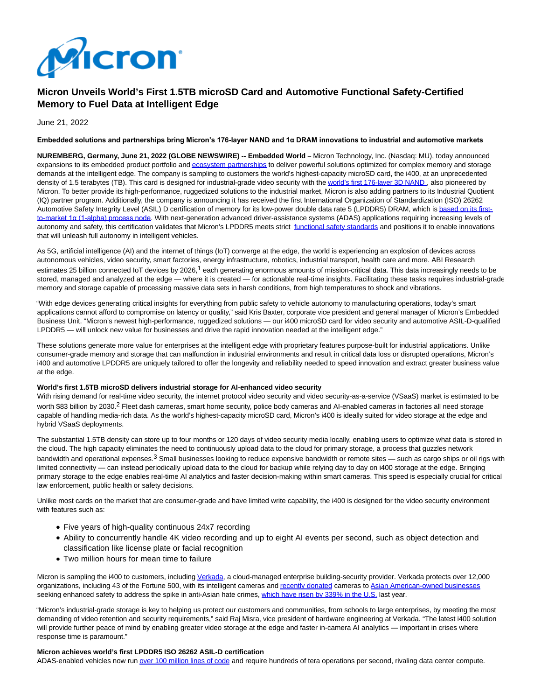

# **Micron Unveils World's First 1.5TB microSD Card and Automotive Functional Safety-Certified Memory to Fuel Data at Intelligent Edge**

June 21, 2022

#### **Embedded solutions and partnerships bring Micron's 176-layer NAND and 1α DRAM innovations to industrial and automotive markets**

**NUREMBERG, Germany, June 21, 2022 (GLOBE NEWSWIRE) -- Embedded World –** Micron Technology, Inc. (Nasdaq: MU), today announced expansions to its embedded product portfolio an[d ecosystem partnerships t](https://www.globenewswire.com/Tracker?data=TFi1FpuYfQ37Wy34quioobw0cwUyIHc4mCumET05LxJyfbX0IMeUdTxQN0lwlvPjgmyH889bdWejvZ0EZbMe5Ueolsl0IZDuAT2MwIyYSINPvHuTpRaaHFTqi--M6bs2CBDnYwbLm2mhAMMuSg1BCm9Bq3TduOEjDFSQKcVwvmU=)o deliver powerful solutions optimized for complex memory and storage demands at the intelligent edge. The company is sampling to customers the world's highest-capacity microSD card, the i400, at an unprecedented density of 1.5 terabytes (TB). This card is designed for industrial-grade video security with th[e world's first 176-layer 3D NAND](https://www.globenewswire.com/Tracker?data=-pTEeCfgmWOBvIPga1q1GqynMIaLAJybFMx9yuSrvWtPbvTZ-eRe8M-S7jyZiAYUlEkuexBbPQq2kK6Fk_KpGk7ALoHgW4qInnML9Z85r95gt1Ls-zlImr2cdI_tQDuQcrR76527I5X4hCyYj2SUBRpbU-Ea93jqYQl81v618Rmo48SGghDhtNnLSjW294uf3C2lV-NGM596U5xvhr8zBFaZ_c7xWQLf-MMXWho8SiVnw3gWT4sYzQjRQOrpPE4K), also pioneered by Micron. To better provide its high-performance, ruggedized solutions to the industrial market, Micron is also adding partners to its Industrial Quotient (IQ) partner program. Additionally, the company is announcing it has received the first International Organization of Standardization (ISO) 26262 Automotive Safety Integrity Level (ASIL) D certification of memory for its low-power double data rate 5 (LPDDR5) DRAM, which i[s based on its first](https://www.globenewswire.com/Tracker?data=ZYSvbxSL90VwF7rKqZPd7A2LxjQlaZnRf7dl6cIEHBc6k2yl6K79PyR24zRRlZbnTtfpxDc1_bxtsuunAN_8p8-nm7MMkCM-wjvwp4nAXhlLZnRB6Vkff1gjITpJhJp4psJOV9HPrxeyiHmxLAxWtwlHY1J5G1GK627v0-5x4EWwhgQjbd6co3JohmRPb8bt9eRqloBTpAl-LNQmL5df9Tzzxavj2gSCqskheav8_EmMTqONSTTDERwTJLZIh_4w)to-market 1α (1-alpha) process node. With next-generation advanced driver-assistance systems (ADAS) applications requiring increasing levels of autonomy and safety, this certification validates that Micron's LPDDR5 meets strict [functional safety standards a](https://www.globenewswire.com/Tracker?data=dDQOp3kk5ooKyUoyxyT-OqIa4QbD8fLZvYMWZ_uroXILOgHn5VvtUmCvQeyCPQLfIO8RUZH8LLRN_vRWPIHtymUD1-Py7I2GFqHRF1nND7EU-K4ggP_1Sbi0RCbQytRcTuEZ1eo6SJ033tL-iSgq4RlDODzEaPcgb0JJGPa2vzk=)nd positions it to enable innovations that will unleash full autonomy in intelligent vehicles.

As 5G, artificial intelligence (AI) and the internet of things (IoT) converge at the edge, the world is experiencing an explosion of devices across autonomous vehicles, video security, smart factories, energy infrastructure, robotics, industrial transport, health care and more. ABI Research estimates 25 billion connected IoT devices by 2026,<sup>1</sup> each generating enormous amounts of mission-critical data. This data increasingly needs to be stored, managed and analyzed at the edge — where it is created — for actionable real-time insights. Facilitating these tasks requires industrial-grade memory and storage capable of processing massive data sets in harsh conditions, from high temperatures to shock and vibrations.

"With edge devices generating critical insights for everything from public safety to vehicle autonomy to manufacturing operations, today's smart applications cannot afford to compromise on latency or quality," said Kris Baxter, corporate vice president and general manager of Micron's Embedded Business Unit. "Micron's newest high-performance, ruggedized solutions — our i400 microSD card for video security and automotive ASIL-D-qualified LPDDR5 — will unlock new value for businesses and drive the rapid innovation needed at the intelligent edge."

These solutions generate more value for enterprises at the intelligent edge with proprietary features purpose-built for industrial applications. Unlike consumer-grade memory and storage that can malfunction in industrial environments and result in critical data loss or disrupted operations, Micron's i400 and automotive LPDDR5 are uniquely tailored to offer the longevity and reliability needed to speed innovation and extract greater business value at the edge.

#### **World's first 1.5TB microSD delivers industrial storage for AI-enhanced video security**

With rising demand for real-time video security, the internet protocol video security and video security-as-a-service (VSaaS) market is estimated to be worth \$83 billion by 2030.<sup>2</sup> Fleet dash cameras, smart home security, police body cameras and AI-enabled cameras in factories all need storage capable of handling media-rich data. As the world's highest-capacity microSD card, Micron's i400 is ideally suited for video storage at the edge and hybrid VSaaS deployments.

The substantial 1.5TB density can store up to four months or 120 days of video security media locally, enabling users to optimize what data is stored in the cloud. The high capacity eliminates the need to continuously upload data to the cloud for primary storage, a process that guzzles network bandwidth and operational expenses.<sup>3</sup> Small businesses looking to reduce expensive bandwidth or remote sites — such as cargo ships or oil rigs with limited connectivity — can instead periodically upload data to the cloud for backup while relying day to day on i400 storage at the edge. Bringing primary storage to the edge enables real-time AI analytics and faster decision-making within smart cameras. This speed is especially crucial for critical law enforcement, public health or safety decisions.

Unlike most cards on the market that are consumer-grade and have limited write capability, the i400 is designed for the video security environment with features such as:

- Five years of high-quality continuous 24x7 recording
- Ability to concurrently handle 4K video recording and up to eight AI events per second, such as object detection and classification like license plate or facial recognition
- Two million hours for mean time to failure

Micron is sampling the i400 to customers, includin[g Verkada,](https://www.globenewswire.com/Tracker?data=LNdaa8fiw_jcmzhyBGuRsxMGBXqxQcqoOeHewxMH1ZrEtqydBElphHOJndxsYhpRpe1R00ftUPPlK0bTfxhignaBvcFiJv1CFJ6Hr8PziZTgOifnYoJpe7T8Wlh9Ns2Y) a cloud-managed enterprise building-security provider. Verkada protects over 12,000 organizations, including 43 of the Fortune 500, with its intelligent cameras an[d recently donated c](https://www.globenewswire.com/Tracker?data=N05PKIj-Ob46Zx5vCF9kPcuXzAiBX0oTwkCkqs_LDYarwMW9u_zEuRtl4SyzqD-jTW7Bx0bR-TP97O_f96JDZ4xWbXdKM97-5OYDrRYMgBEr2Cm3PKO4XgaaOGJdwEZgUNvyIVffd4E_2ipDAQkvgf3c_Qst8wPC9sDDeJ6xUyezNf9bFzEklyJme2oI8yt5)ameras to [Asian American-owned businesses](https://www.globenewswire.com/Tracker?data=DLvMahGhJq_N13haMBlJrYjqhzn2efOZ0iHhVysXATQABchn2O_V1Ylx2s1jZ8ulQNAqqzJwwsXK6avGUjg7z7sIBhLunQV0rIS6i75HkncJgLe4R8wma18YeuttV2N7K0-SRGNKrnLbuespbu0G1u5LqRVCvSwiGlYPgnMnJys=) seeking enhanced safety to address the spike in anti-Asian hate crimes[, which have risen by 339% in the U.S. l](https://www.globenewswire.com/Tracker?data=yXQ-HPWRUmql6lY8Z3v_HIz1XwXZ_8e25e_ZFJpNs1oudcBibMnpKFGJuR4yi-Gny1fy3YN8BsXI7VY4XbBDsFlaOCkiXxnMqRRngzApOxNzaEs7UJdP1ufGFd7OiwmFbtpNqazlHHDlWYOby6yVffBN5cnVD_EZZaddMLjsek_eglUaK0uDBojY7ic0-0tEydx4pEB2S1w6G2Yr5ZH07OE-IHIUjls5tEvZLLnS_IZ0BMml0T3O3vvE2uT12Da_)ast year.

"Micron's industrial-grade storage is key to helping us protect our customers and communities, from schools to large enterprises, by meeting the most demanding of video retention and security requirements," said Raj Misra, vice president of hardware engineering at Verkada. "The latest i400 solution will provide further peace of mind by enabling greater video storage at the edge and faster in-camera AI analytics — important in crises where response time is paramount."

#### **Micron achieves world's first LPDDR5 ISO 26262 ASIL-D certification**

ADAS-enabled vehicles now ru[n over 100 million lines of code a](https://www.globenewswire.com/Tracker?data=RXhuyCHQjwJYsTuokdhHS0_Q0Wokh_Vff5Pf_vTPztNJwY83bPa2brFMwnKg1-6oMMV2Ih6LOi7QunATqHX352lJGhwPwUOpXLjhKl3J9oCgOVuU3LShzoMma7vcJCT3klHsC3u9PHymLJRRor2x6gGfJjKtajSzWeHS-AWRbZUStpl5VeT95NGjOXXy2f2PObzrrFaJOeRFxmF7Mh6_IA==)nd require hundreds of tera operations per second, rivaling data center compute.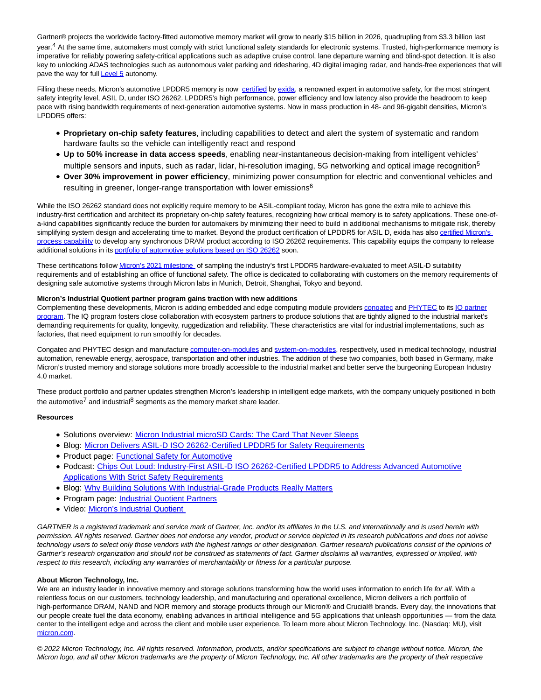Gartner® projects the worldwide factory-fitted automotive memory market will grow to nearly \$15 billion in 2026, quadrupling from \$3.3 billion last year.<sup>4</sup> At the same time, automakers must comply with strict functional safety standards for electronic systems. Trusted, high-performance memory is imperative for reliably powering safety-critical applications such as adaptive cruise control, lane departure warning and blind-spot detection. It is also key to unlocking ADAS technologies such as autonomous valet parking and ridesharing, 4D digital imaging radar, and hands-free experiences that will pave the way for full **Level 5** autonomy.

Filling these needs, Micron's automotive LPDDR5 memory is now [certified b](https://www.globenewswire.com/Tracker?data=Vem26ch_O5dCP2wkH4sJo0J8Ubtbxs76uKPQyLWuaUwzTAKQrt_j6c-wr8uH2KGg5yRRWW11y93Ek7K8q9ftxrnvpTNL0PGSlFiv-_odJNXXuqiVf_WdO-XNyRovn_KFrM7jPQDNxqn-TvSnkVp_eSIBbRyeGoOl_yBSjwUjUYg=)y [exida,](https://www.globenewswire.com/Tracker?data=KvvHah65Aw9UXrHuD5h5o_LlYVhwBdRado4UhQYNGHRqUBcykGXL8ioaVrgLbB5aZ2Cex7jafImbuSLmKHxYVQ==) a renowned expert in automotive safety, for the most stringent safety integrity level, ASIL D, under ISO 26262. LPDDR5's high performance, power efficiency and low latency also provide the headroom to keep pace with rising bandwidth requirements of next-generation automotive systems. Now in mass production in 48- and 96-gigabit densities, Micron's LPDDR5 offers:

- **Proprietary on-chip safety features**, including capabilities to detect and alert the system of systematic and random hardware faults so the vehicle can intelligently react and respond
- **Up to 50% increase in data access speeds**, enabling near-instantaneous decision-making from intelligent vehicles' multiple sensors and inputs, such as radar, lidar, hi-resolution imaging, 5G networking and optical image recognition<sup>5</sup>
- **Over 30% improvement in power efficiency**, minimizing power consumption for electric and conventional vehicles and resulting in greener, longer-range transportation with lower emissions<sup>6</sup>

While the ISO 26262 standard does not explicitly require memory to be ASIL-compliant today, Micron has gone the extra mile to achieve this industry-first certification and architect its proprietary on-chip safety features, recognizing how critical memory is to safety applications. These one-ofa-kind capabilities significantly reduce the burden for automakers by minimizing their need to build in additional mechanisms to mitigate risk, thereby simplifying system design and accelerating time to market. Beyond the product certification of LPDDR5 for ASIL D, exida has als[o certified Micron's](https://www.globenewswire.com/Tracker?data=Vem26ch_O5dCP2wkH4sJo5yRFBsS6J-Wh_NRkBi3clpJ4595mbJpgoVhgw8NI4V4Woolmey1ARYX43x8AJAtp4uvz98Euzq_WVzS0lX9733eQE-rc7CCrvPOAc0qBhUEO86P90XSXIfbjKSOOjOL-O7z2zlOrQGVgMoWh58wV_7XJc-Zu7AAY1y--ViuVC0719dlqRQ-1DutsQ6_kosxGh1noF6CALf1R3WrNE5MI9k=) process capability to develop any synchronous DRAM product according to ISO 26262 requirements. This capability equips the company to release additional solutions in it[s portfolio of automotive solutions based on ISO 26262 s](https://www.globenewswire.com/Tracker?data=szJS7UHePVJyIO31brB_RuRAjx1qFDtltCKp2LiapP9536oN9cTInJ_cHZWB3jCqP1L16DVVir-wSvSh82_IafJYacCHN091l38i7ZdSj8gxvzyvf8C9ri-4h9uPWNkjokoksEPbQBKLPXNb3v87E0nhTtWLRb7G5OnyaCsuE0ZfkCXE6Frz6rjxivyci9NqasahMzjbyy2tBQnD9Lp7Og==)oon.

These certifications follo[w Micron's 2021 milestone o](https://www.globenewswire.com/Tracker?data=7g825SeZtJwRvmMfUVQPx9zdBsUJjcuauwmkm1p7csyK7XHKUahX47UqZxCdxa9Lk8Hxd3zEWRVrCVxGFxVrRvP54IlajyGkmUdt6TcQUVnlXw6DL4fpaYYoGvn--NUmNGPbotSpeD2ElJlJIbOM8mTZatmuVOGpy5K7NdKQjoZGDFiufprSMqL5Y6Y9OAqvJcCvQkbWP-XSVr3hSoKGS_IJltgPWpqicY3xMu_ptoU=)f sampling the industry's first LPDDR5 hardware-evaluated to meet ASIL-D suitability requirements and of establishing an office of functional safety. The office is dedicated to collaborating with customers on the memory requirements of designing safe automotive systems through Micron labs in Munich, Detroit, Shanghai, Tokyo and beyond.

### **Micron's Industrial Quotient partner program gains traction with new additions**

Complementing these developments, Micron is adding embedded and edge computing module provider[s congatec a](https://www.globenewswire.com/Tracker?data=LG624zSHxsVzsYishYWJyHXYe4WUhGLWXOi9dcXlcCTlyUh3X0Q4cj156fisY8-JuA6FiVDKp9luwegyE6R4b5jz7gss9guMd1eTsu0x0TWf5dsha7yawj-dCOpbGLQK)n[d PHYTEC t](https://www.globenewswire.com/Tracker?data=7gul0pjRW5AgKDWWMsGe_Gw02_0IgFexmfAcbElTTXYF7PKYDy_7Yk3eNwFy8HuTW4tXoEhQ8J2qWvxcNSqNuXGXyDO-IqAw6eXxQsaXgRg=)o it[s IQ partner](https://www.globenewswire.com/Tracker?data=qAR020WppjBR6RihmwwOUOwDRwZ7iWlSSw8qGo-1ShYB1JYQ8rF9Ukr6hSTLpvea4-SF70pLrfJe5yDhRAXSw5-qeYDs2hcH3drVsmL5OIK1qQ9ntgJi3s2sleQXVEflxKs7oVeb3vpMK3wGWSi9CNDDxw2tSo8_9v0QuKYC7e0=) program. The IQ program fosters close collaboration with ecosystem partners to produce solutions that are tightly aligned to the industrial market's demanding requirements for quality, longevity, ruggedization and reliability. These characteristics are vital for industrial implementations, such as factories, that need equipment to run smoothly for decades.

Congatec and PHYTEC design and manufactur[e computer-on-modules a](https://www.globenewswire.com/Tracker?data=ltNPCPqMTP-_NQJMRlXhmTibwxufNyaihFfJY52cJRXb-sUnfnBvZJi-_V9CbeVCffUA2mDSD9Qgo0jh74oSceQE1kvE--1i8yo_fNBNeBQ=)nd [system-on-modules,](https://www.globenewswire.com/Tracker?data=OdbvIvjrnct1FnehyqiorYgPgSElz06MoucxoHd9z_p1OsHqcDjkS79UydFKVcbki6DTd1LKjEXKeIDf90a_KA==) respectively, used in medical technology, industrial automation, renewable energy, aerospace, transportation and other industries. The addition of these two companies, both based in Germany, make Micron's trusted memory and storage solutions more broadly accessible to the industrial market and better serve the burgeoning European Industry 4.0 market.

These product portfolio and partner updates strengthen Micron's leadership in intelligent edge markets, with the company uniquely positioned in both the automotive<sup>7</sup> and industrial<sup>8</sup> segments as the memory market share leader.

#### **Resources**

- Solutions overview: [Micron Industrial microSD Cards: The Card That Never Sleeps](https://media-www.micron.com/-/media/client/global/documents/products/product-flyer/micro_sd_card_flyer.pdf)
- Blog: [Micron Delivers ASIL-D ISO 26262-Certified LPDDR5 for Safety Requirements](https://www.micron.com/about/blog/2022/june/micron-delivers-asil-d-iso26262-certified-lpddr5-for-safety-requirements)
- Product page: [Functional Safety for Automotive](https://www.micron.com/solutions/automotive/functional-safety-for-automotive)
- Podcast: [Chips Out Loud: Industry-First ASIL-D ISO 26262-Certified LPDDR5 to Address Advanced Automotive](https://directory.libsyn.com/shows/view/id/chipsoutloud) Applications With Strict Safety Requirements
- Blog: [Why Building Solutions With Industrial-Grade Products Really Matters](https://www.micron.com/about/blog/2022/june/why-building-solutions-with-industrial-grade-products-really-matters)
- Program page: [Industrial Quotient Partners](https://www.micron.com/solutions/micron-ecosystem-partner-programs/iq-partners)
- Video: [Micron's Industrial Quotient](https://www.youtube.com/watch?v=H14c4e9Vhfc)

GARTNER is a registered trademark and service mark of Gartner, Inc. and/or its affiliates in the U.S. and internationally and is used herein with permission. All rights reserved. Gartner does not endorse any vendor, product or service depicted in its research publications and does not advise technology users to select only those vendors with the highest ratings or other designation. Gartner research publications consist of the opinions of Gartner's research organization and should not be construed as statements of fact. Gartner disclaims all warranties, expressed or implied, with respect to this research, including any warranties of merchantability or fitness for a particular purpose.

## **About Micron Technology, Inc.**

We are an industry leader in innovative memory and storage solutions transforming how the world uses information to enrich life for all. With a relentless focus on our customers, technology leadership, and manufacturing and operational excellence, Micron delivers a rich portfolio of high-performance DRAM, NAND and NOR memory and storage products through our Micron® and Crucial® brands. Every day, the innovations that our people create fuel the data economy, enabling advances in artificial intelligence and 5G applications that unleash opportunities — from the data center to the intelligent edge and across the client and mobile user experience. To learn more about Micron Technology, Inc. (Nasdaq: MU), visit [micron.com.](https://www.globenewswire.com/Tracker?data=YYJyDUhJX9nr9rZmvvH-3DvQJ6NiQTY0aDFT_9wJYsr7fh5y7M1E3aopx27sJ7LHEUx6EkKMCFf1L235vtMJEQ==)

© 2022 Micron Technology, Inc. All rights reserved. Information, products, and/or specifications are subject to change without notice. Micron, the Micron logo, and all other Micron trademarks are the property of Micron Technology, Inc. All other trademarks are the property of their respective